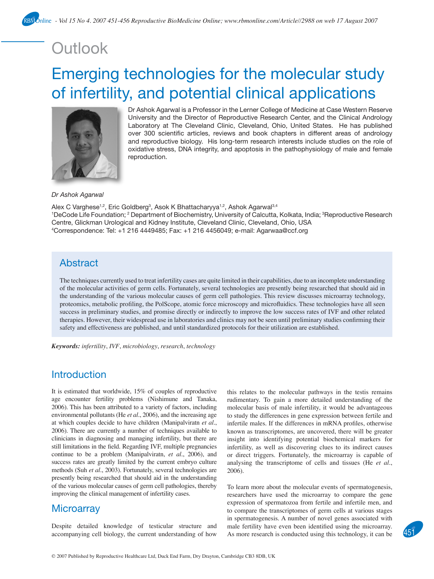## Outlook

# Emerging technologies for the molecular study of infertility, and potential clinical applications



Dr Ashok Agarwal is a Professor in the Lerner College of Medicine at Case Western Reserve University and the Director of Reproductive Research Center, and the Clinical Andrology Laboratory at The Cleveland Clinic, Cleveland, Ohio, United States. He has published over 300 scientific articles, reviews and book chapters in different areas of andrology and reproductive biology. His long-term research interests include studies on the role of oxidative stress, DNA integrity, and apoptosis in the pathophysiology of male and female reproduction.

#### Dr Ashok Agarwal

Alex C Varghese<sup>1,2</sup>, Eric Goldberg<sup>3</sup>, Asok K Bhattacharyya<sup>1,2</sup>, Ashok Agarwal<sup>3,4</sup> <sup>1</sup>DeCode Life Foundation; <sup>2</sup> Department of Biochemistry, University of Calcutta, Kolkata, India; <sup>3</sup>Reproductive Research Centre, Glickman Urological and Kidney Institute, Cleveland Clinic, Cleveland, Ohio, USA <sup>4</sup>Correspondence: Tel: +1 216 4449485; Fax: +1 216 4456049; e-mail: Agarwaa@ccf.org

#### **Abstract**

The techniques currently used to treat infertility cases are quite limited in their capabilities, due to an incomplete understanding of the molecular activities of germ cells. Fortunately, several technologies are presently being researched that should aid in the understanding of the various molecular causes of germ cell pathologies. This review discusses microarray technology, proteomics, metabolic profiling, the PolScope, atomic force microscopy and microfluidics. These technologies have all seen success in preliminary studies, and promise directly or indirectly to improve the low success rates of IVF and other related therapies. However, their widespread use in laboratories and clinics may not be seen until preliminary studies confirming their safety and effectiveness are published, and until standardized protocols for their utilization are established.

Keywords: infertility, IVF, microbiology, research, technology

## **Introduction**

It is estimated that worldwide, 15% of couples of reproductive age encounter fertility problems (Nishimune and Tanaka, 2006). This has been attributed to a variety of factors, including environmental pollutants (He et al., 2006), and the increasing age at which couples decide to have children (Manipalviratn et al., 2006). There are currently a number of techniques available to clinicians in diagnosing and managing infertility, but there are still limitations in the field. Regarding IVF, multiple pregnancies continue to be a problem (Manipalviratn, et al., 2006), and success rates are greatly limited by the current embryo culture methods (Suh et al., 2003). Fortunately, several technologies are presently being researched that should aid in the understanding of the various molecular causes of germ cell pathologies, thereby improving the clinical management of infertility cases.

#### **Microarray**

Despite detailed knowledge of testicular structure and accompanying cell biology, the current understanding of how this relates to the molecular pathways in the test is remains rudimentary. To gain a more detailed understanding of the molecular basis of male infertility, it would be advantageous to study the differences in gene expression between fertile and infertile males. If the differences in mRNA profiles, otherwise known as transcriptomes, are uncovered, there will be greater insight into identifying potential biochemical markers for infertility, as well as discovering clues to its indirect causes or direct triggers. Fortunately, the microarray is capable of analysing the transcriptome of cells and tissues (He et al.,  $2006$ ).

To learn more about the molecular events of spermatogenesis, researchers have used the microarray to compare the gene expression of spermatozoa from fertile and infertile men, and to compare the transcriptomes of germ cells at various stages in spermatogenesis. A number of novel genes associated with male fertility have even been identified using the microarray. As more research is conducted using this technology, it can be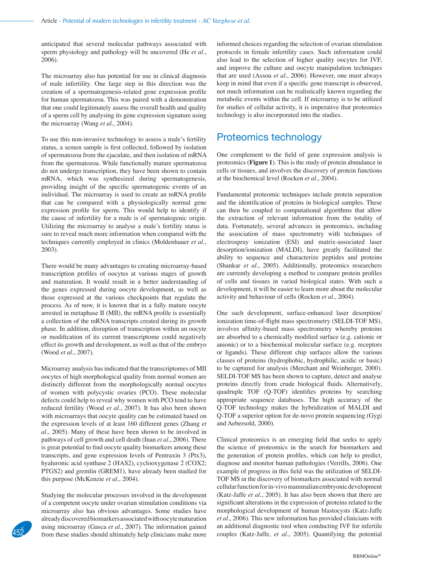anticipated that several molecular pathways associated with sperm physiology and pathology will be uncovered (He *et al.*, 2006).

The microarray also has potential for use in clinical diagnosis of male infertility. One large step in this direction was the creation of a spermatogenesis-related gene expression profile for human spermatozoa. This was paired with a demonstration that one could legitimately assess the overall health and quality of a sperm cell by analysing its gene expression signature using the microarray (Wang *et al.*, 2004).

To use this non-invasive technology to assess a male's fertility status, a semen sample is first collected, followed by isolation of spermatozoa from the ejaculate, and then isolation of mRNA from the spermatozoa. While functionally mature spermatozoa do not undergo transcription, they have been shown to contain mRNA, which was synthesized during spermatogenesis, providing insight of the specific spermatogenic events of an individual. The microarray is used to create an mRNA profile that can be compared with a physiologically normal gene expression profile for sperm. This would help to identify if the cause of infertility for a male is of spermatogenic origin. Utilizing the microarray to analyse a male's fertility status is sure to reveal much more information when compared with the techniques currently employed in clinics (Moldenhauer *et al.*, 2003).

There would be many advantages to creating microarray-based transcription profiles of oocytes at various stages of growth and maturation. It would result in a better understanding of the genes expressed during oocyte development, as well as those expressed at the various checkpoints that regulate the process. As of now, it is known that in a fully mature oocyte arrested in metaphase II (MII), the mRNA profile is essentially a collection of the mRNA transcripts created during its growth phase. In addition, disruption of transcription within an oocyte or modification of its current transcriptome could negatively effect its growth and development, as well as that of the embryo (Wood *et al.*, 2007).

Microarray analysis has indicated that the transcriptomes of MII oocytes of high morphological quality from normal women are distinctly different from the morphologically normal oocytes of women with polycystic ovaries (PCO). These molecular defects could help to reveal why women with PCO tend to have reduced fertility (Wood *et al.*, 2007). It has also been shown with microarrays that oocyte quality can be estimated based on the expression levels of at least 160 different genes (Zhang *et al.*, 2005). Many of these have been shown to be involved in pathways of cell growth and cell death (Inan *et al.*, 2006). There is great potential to find oocyte quality biomarkers among these transcripts, and gene expression levels of Pentraxin 3 (Ptx3), hyaluronic acid synthase 2 (HAS2), cyclooxygenase 2 (COX2; PTGS2) and gremlin (GREM1), have already been studied for this purpose (McKenzie *et al.*, 2004).

Studying the molecular processes involved in the development of a competent oocyte under ovarian stimulation conditions via microarray also has obvious advantages. Some studies have already discovered biomarkers associated with oocyte maturation using microarray (Gasca *et al.*, 2007). The information gained from these studies should ultimately help clinicians make more informed choices regarding the selection of ovarian stimulation protocols in female infertility cases. Such information could also lead to the selection of higher quality oocytes for IVF, and improve the culture and oocyte manipulation techniques that are used (Assou *et al.*, 2006). However, one must always keep in mind that even if a specific gene transcript is observed, not much information can be realistically known regarding the metabolic events within the cell. If microarray is to be utilized for studies of cellular activity, it is imperative that proteomics technology is also incorporated into the studies.

#### Proteomics technology

One complement to the field of gene expression analysis is proteomics (**Figure 1**). This is the study of protein abundance in cells or tissues, and involves the discovery of protein functions at the biochemical level (Rocken *et al.*, 2004).

Fundamental proteomic techniques include protein separation and the identification of proteins in biological samples. These can then be coupled to computational algorithms that allow the extraction of relevant information from the totality of data. Fortunately, several advances in proteomics, including the association of mass spectrometry with techniques of electrospray ionization (ESI) and matrix-associated laser desorption/ionization (MALDI), have greatly facilitated the ability to sequence and characterize peptides and proteins (Shankar *et al.*, 2005). Additionally, proteomics researchers are currently developing a method to compare protein profiles of cells and tissues in varied biological states. With such a development, it will be easier to learn more about the molecular activity and behaviour of cells (Rocken *et al.*, 2004).

One such development, surface-enhanced laser desorption/ ionization time-of-flight mass spectrometry (SELDI-TOF MS), involves affinity-based mass spectrometry whereby proteins are absorbed to a chemically modified surface (e.g. cationic or anionic) or to a biochemical molecular surface (e.g. receptors or ligands). These different chip surfaces allow the various classes of proteins (hydrophobic, hydrophilic, acidic or basic) to be captured for analysis (Merchant and Weinberger, 2000). SELDI-TOF MS has been shown to capture, detect and analyse proteins directly from crude biological fluids. Alternatively, quadruple TOF (Q-TOF) identifies proteins by searching appropriate sequence databases. The high accuracy of the Q-TOF technology makes the hybridization of MALDI and Q-TOF a superior option for de-novo protein sequencing (Gygi and Aebersold, 2000).

Clinical proteomics is an emerging field that seeks to apply the science of proteomics in the search for biomarkers and the generation of protein profiles, which can help to predict, diagnose and monitor human pathologies (Verrills, 2006). One example of progress in this field was the utilization of SELDI-TOF MS in the discovery of biomarkers associated with normal cellular function for in-vivo mammalian embryonic development (Katz-Jaffe *et al.*, 2005). It has also been shown that there are significant alterations in the expression of proteins related to the morphological development of human blastocysts (Katz-Jaffe *et al.*, 2006). This new information has provided clinicians with an additional diagnostic tool when conducting IVF for infertile couples (Katz-Jaffe, *et al.*, 2005). Quantifying the potential

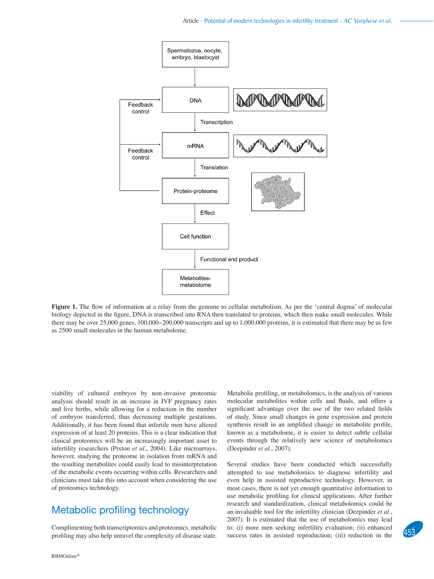

**Figure 1.** The flow of information at a relay from the genome to cellular metabolism. As per the 'central dogma' of molecular biology depicted in the figure, DNA is transcribed into RNA then translated to proteins, which then make small molecules. While there may be over 25,000 genes, 100,000−200,000 transcripts and up to 1,000,000 proteins, it is estimated that there may be as few as 2500 small molecules in the human metabolome.

viability of cultured embryos by non-invasive proteomic analysis should result in an increase in IVF pregnancy rates and live births, while allowing for a reduction in the number of embryos transferred, thus decreasing multiple gestations. Additionally, it has been found that infertile men have altered expression of at least 20 proteins. This is a clear indication that clinical proteomics will be an increasingly important asset to infertility researchers (Pixton *et al.*, 2004). Like microarrays, however, studying the proteome in isolation from mRNA and the resulting metabolites could easily lead to misinterpretation of the metabolic events occurring within cells. Researchers and clinicians must take this into account when considering the use of proteomics technology.

#### Metabolic profiling technology

Complimenting both transcriptomics and proteomics, metabolic profiling may also help unravel the complexity of disease state.

Metabolic profiling, or metabolomics, is the analysis of various molecular metabolites within cells and fluids, and offers a significant advantage over the use of the two related fields of study. Since small changes in gene expression and protein synthesis result in an amplified change in metabolite profile, known as a metabolome, it is easier to detect subtle cellular events through the relatively new science of metabolomics (Deepinder *et al.*, 2007).

Several studies have been conducted which successfully attempted to use metabolomics to diagnose infertility and even help in assisted reproductive technology. However, in most cases, there is not yet enough quantitative information to use metabolic profiling for clinical applications. After further research and standardization, clinical metabolomics could be an invaluable tool for the infertility clinician (Deepinder *et al.*, 2007). It is estimated that the use of metabolomics may lead to: (i) more men seeking infertility evaluation; (ii) enhanced success rates in assisted reproduction; (iii) reduction in the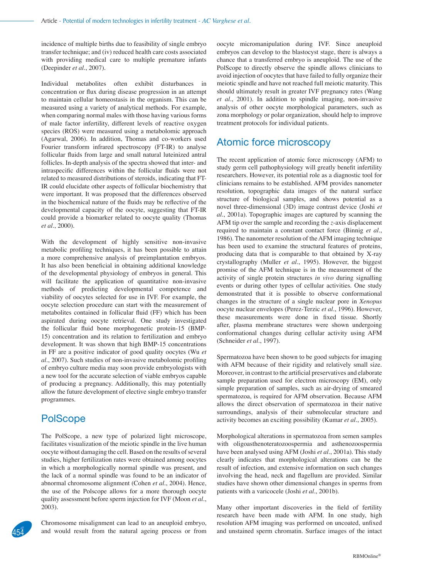incidence of multiple births due to feasibility of single embryo transfer technique; and (iv) reduced health care costs associated with providing medical care to multiple premature infants (Deepinder *et al.*, 2007).

Individual metabolites often exhibit disturbances in concentration or flux during disease progression in an attempt to maintain cellular homeostasis in the organism. This can be measured using a variety of analytical methods. For example, when comparing normal males with those having various forms of male factor infertility, different levels of reactive oxygen species (ROS) were measured using a metabolomic approach (Agarwal, 2006). In addition, Thomas and co-workers used Fourier transform infrared spectroscopy (FT-IR) to analyse follicular fluids from large and small natural luteinized antral follicles. In-depth analysis of the spectra showed that inter- and intraspecific differences within the follicular fluids were not related to measured distributions of steroids, indicating that FT-IR could elucidate other aspects of follicular biochemistry that were important. It was proposed that the differences observed in the biochemical nature of the fluids may be reflective of the developmental capacity of the oocyte, suggesting that FT-IR could provide a biomarker related to oocyte quality (Thomas *et al.*, 2000).

With the development of highly sensitive non-invasive metabolic profiling techniques, it has been possible to attain a more comprehensive analysis of preimplantation embryos. It has also been beneficial in obtaining additional knowledge of the developmental physiology of embryos in general. This will facilitate the application of quantitative non-invasive methods of predicting developmental competence and viability of oocytes selected for use in IVF. For example, the oocyte selection procedure can start with the measurement of metabolites contained in follicular fluid (FF) which has been aspirated during oocyte retrieval. One study investigated the follicular fluid bone morphogenetic protein-15 (BMP-15) concentration and its relation to fertilization and embryo development. It was shown that high BMP-15 concentrations in FF are a positive indicator of good quality oocytes (Wu *et al.*, 2007). Such studies of non-invasive metabolomic profiling of embryo culture media may soon provide embryologists with a new tool for the accurate selection of viable embryos capable of producing a pregnancy. Additionally, this may potentially allow the future development of elective single embryo transfer programmes.

## PolScope

The PolScope, a new type of polarized light microscope, facilitates visualization of the meiotic spindle in the live human oocyte without damaging the cell. Based on the results of several studies, higher fertilization rates were obtained among oocytes in which a morphologically normal spindle was present, and the lack of a normal spindle was found to be an indicator of abnormal chromosome alignment (Cohen *et al.*, 2004). Hence, the use of the Polscope allows for a more thorough oocyte quality assessment before sperm injection for IVF (Moon *et al.*, 2003).



Chromosome misalignment can lead to an aneuploid embryo,

oocyte micromanipulation during IVF. Since aneuploid embryos can develop to the blastocyst stage, there is always a chance that a transferred embryo is aneuploid. The use of the PolScope to directly observe the spindle allows clinicians to avoid injection of oocytes that have failed to fully organize their meiotic spindle and have not reached full meiotic maturity. This should ultimately result in greater IVF pregnancy rates (Wang *et al.*, 2001). In addition to spindle imaging, non-invasive analysis of other oocyte morphological parameters, such as zona morphology or polar organization, should help to improve treatment protocols for individual patients.

#### Atomic force microscopy

The recent application of atomic force microscopy (AFM) to study germ cell pathophysiology will greatly benefit infertility researchers. However, its potential role as a diagnostic tool for clinicians remains to be established. AFM provides nanometer resolution, topographic data images of the natural surface structure of biological samples, and shows potential as a novel three-dimensional (3D) image contrast device (Joshi *et al.*, 2001a). Topographic images are captured by scanning the AFM tip over the sample and recording the *z*-axis displacement required to maintain a constant contact force (Binnig *et al.*, 1986). The nanometer resolution of the AFM imaging technique has been used to examine the structural features of proteins, producing data that is comparable to that obtained by X-ray crystallography (Muller *et al.*, 1995). However, the biggest promise of the AFM technique is in the measurement of the activity of single protein structures *in vivo* during signalling events or during other types of cellular activities. One study demonstrated that it is possible to observe conformational changes in the structure of a single nuclear pore in *Xenopus*  oocyte nuclear envelopes (Perez-Terzic *et al.*, 1996). However, these measurements were done in fixed tissue. Shortly after, plasma membrane structures were shown undergoing conformational changes during cellular activity using AFM (Schneider *et al.*, 1997).

Spermatozoa have been shown to be good subjects for imaging with AFM because of their rigidity and relatively small size. Moreover, in contrast to the artificial preservatives and elaborate sample preparation used for electron microscopy (EM), only simple preparation of samples, such as air-drying of smeared spermatozoa, is required for AFM observation. Because AFM allows the direct observation of spermatozoa in their native surroundings, analysis of their submolecular structure and activity becomes an exciting possibility (Kumar *et al.*, 2005).

Morphological alterations in spermatozoa from semen samples with oligoasthenoteratozoospermia and asthenozoospermia have been analysed using AFM (Joshi *et al.*, 2001a). This study clearly indicates that morphological alterations can be the result of infection, and extensive information on such changes involving the head, neck and flagellum are provided. Similar studies have shown other dimensional changes in sperms from patients with a varicocele (Joshi *et al.*, 2001b).

454 and would result from the natural ageing process or from and unstained sperm chromatin. Surface images of the intact Many other important discoveries in the field of fertility research have been made with AFM. In one study, high resolution AFM imaging was performed on uncoated, unfixed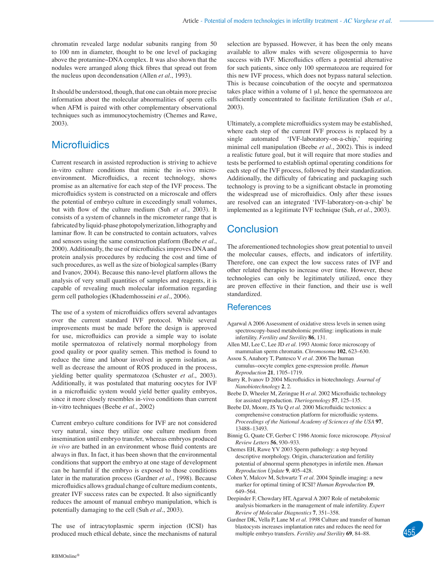chromatin revealed large nodular subunits ranging from 50 to 100 nm in diameter, thought to be one level of packaging above the protamine−DNA complex. It was also shown that the nodules were arranged along thick fibres that spread out from the nucleus upon decondensation (Allen *et al.*, 1993).

It should be understood, though, that one can obtain more precise information about the molecular abnormalities of sperm cells when AFM is paired with other complementary observational techniques such as immunocytochemistry (Chemes and Rawe, 2003).

#### Microfluidics

Current research in assisted reproduction is striving to achieve in-vitro culture conditions that mimic the in-vivo microenvironment. Microfluidics, a recent technology, shows promise as an alternative for each step of the IVF process. The microfluidics system is constructed on a microscale and offers the potential of embryo culture in exceedingly small volumes, but with flow of the culture medium (Suh *et al.*, 2003). It consists of a system of channels in the micrometer range that is fabricated by liquid-phase photopolymerization, lithography and laminar flow. It can be constructed to contain actuators, valves and sensors using the same construction platform (Beebe *et al.*, 2000). Additionally, the use of microfluidics improves DNA and protein analysis procedures by reducing the cost and time of such procedures, as well as the size of biological samples (Barry and Ivanov, 2004). Because this nano-level platform allows the analysis of very small quantities of samples and reagents, it is capable of revealing much molecular information regarding germ cell pathologies (Khademhosseini *et al.*, 2006).

The use of a system of microfluidics offers several advantages over the current standard IVF protocol. While several improvements must be made before the design is approved for use, microfluidics can provide a simple way to isolate motile spermatozoa of relatively normal morphology from good quality or poor quality semen. This method is found to reduce the time and labour involved in sperm isolation, as well as decrease the amount of ROS produced in the process, yielding better quality spermatozoa (Schuster *et al.*, 2003). Additionally, it was postulated that maturing oocytes for IVF in a microfluidic system would yield better quality embryos, since it more closely resembles in-vivo conditions than current in-vitro techniques (Beebe *et al.*, 2002)

Current embryo culture conditions for IVF are not considered very natural, since they utilize one culture medium from insemination until embryo transfer, whereas embryos produced *in vivo* are bathed in an environment whose fluid contents are always in flux. In fact, it has been shown that the environmental conditions that support the embryo at one stage of development can be harmful if the embryo is exposed to those conditions later in the maturation process (Gardner *et al.*, 1998). Because microfluidics allows gradual change of culture medium contents, greater IVF success rates can be expected. It also significantly reduces the amount of manual embryo manipulation, which is potentially damaging to the cell (Suh *et al.*, 2003).

The use of intracytoplasmic sperm injection (ICSI) has produced much ethical debate, since the mechanisms of natural

selection are bypassed. However, it has been the only means available to allow males with severe oligospermia to have success with IVF. Microfluidics offers a potential alternative for such patients, since only 100 spermatozoa are required for this new IVF process, which does not bypass natural selection. This is because coincubation of the oocyte and spermatozoa takes place within a volume of 1 μl, hence the spermatozoa are sufficiently concentrated to facilitate fertilization (Suh *et al.*, 2003).

Ultimately, a complete microfluidics system may be established, where each step of the current IVF process is replaced by a single automated 'IVF-laboratory-on-a-chip,' requiring minimal cell manipulation (Beebe *et al.*, 2002). This is indeed a realistic future goal, but it will require that more studies and tests be performed to establish optimal operating conditions for each step of the IVF process, followed by their standardization. Additionally, the difficulty of fabricating and packaging such technology is proving to be a significant obstacle in promoting the widespread use of microfluidics. Only after these issues are resolved can an integrated 'IVF-laboratory-on-a-chip' be implemented as a legitimate IVF technique (Suh, *et al.*, 2003).

#### Conclusion

The aforementioned technologies show great potential to unveil the molecular causes, effects, and indicators of infertility. Therefore, one can expect the low success rates of IVF and other related therapies to increase over time. However, these technologies can only be legitimately utilized, once they are proven effective in their function, and their use is well standardized.

#### **References**

- Agarwal A 2006 Assessment of oxidative stress levels in semen using spectroscopy-based metabolomic profiling: implications in male infertility. *Fertility and Sterility* **86**, 131.
- Allen MJ, Lee C, Lee JD *et al.* 1993 Atomic force microscopy of mammalian sperm chromatin. *Chromosoma* **102**, 623–630.
- Assou S, Anahory T, Pantesco V *et al.* 2006 The human cumulus−oocyte complex gene-expression profile. *Human Reproduction* **21**, 1705–1719.
- Barry R, Ivanov D 2004 Microfluidics in biotechnology. *Journal of Nanobiotechnology* **2**, 2.
- Beebe D, Wheeler M, Zeringue H *et al.* 2002 Microfluidic technology for assisted reproduction. *Theriogenology* **57**, 125–135.
- Beebe DJ, Moore, JS Yu Q *et al.* 2000 Microfluidic tectonics: a comprehensive construction platform for microfluidic systems. *Proceedings of the National Academy of Sciences of the USA* **97**, 13488–13493.
- Binnig G, Quate CF, Gerber C 1986 Atomic force microscope. *Physical Review Letters* **56**, 930–933.
- Chemes EH, Rawe YV 2003 Sperm pathology: a step beyond descriptive morphology. Origin, characterization and fertility potential of abnormal sperm phenotypes in infertile men. *Human Reproduction Update* **9**, 405–428.
- Cohen Y, Malcov M, Schwartz T *et al.* 2004 Spindle imaging: a new marker for optimal timing of ICSI? *Human Reproduction* **19**, 649–564.
- Deepinder F, Chowdary HT, Agarwal A 2007 Role of metabolomic analysis biomarkers in the management of male infertility. *Expert Review of Molecular Diagnostics* **7**, 351–358.
- Gardner DK, Vella P, Lane M *et al.* 1998 Culture and transfer of human blastocysts increases implantation rates and reduces the need for multiple embryo transfers. *Fertility and Sterility* **69**, 84–88.